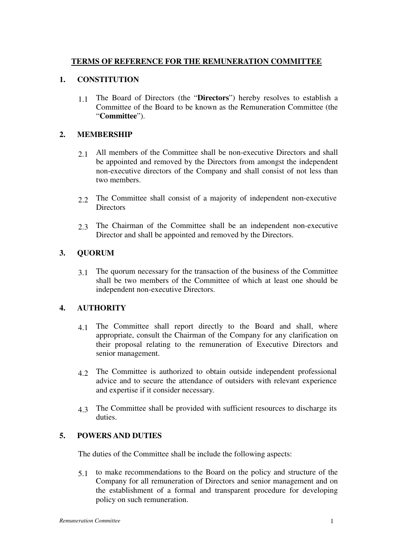# **TERMS OF REFERENCE FOR THE REMUNERATION COMMITTEE**

#### **1. CONSTITUTION**

1.1 The Board of Directors (the "**Directors**") hereby resolves to establish a Committee of the Board to be known as the Remuneration Committee (the "**Committee**").

### **2. MEMBERSHIP**

- 2.1 All members of the Committee shall be non-executive Directors and shall be appointed and removed by the Directors from amongst the independent non-executive directors of the Company and shall consist of not less than two members.
- 2.2 The Committee shall consist of a majority of independent non-executive **Directors**
- 2.3 The Chairman of the Committee shall be an independent non-executive Director and shall be appointed and removed by the Directors.

# **3. QUORUM**

3.1 The quorum necessary for the transaction of the business of the Committee shall be two members of the Committee of which at least one should be independent non-executive Directors.

#### **4. AUTHORITY**

- 4.1 The Committee shall report directly to the Board and shall, where appropriate, consult the Chairman of the Company for any clarification on their proposal relating to the remuneration of Executive Directors and senior management.
- 4.2 The Committee is authorized to obtain outside independent professional advice and to secure the attendance of outsiders with relevant experience and expertise if it consider necessary.
- 4.3 The Committee shall be provided with sufficient resources to discharge its duties.

# **5. POWERS AND DUTIES**

The duties of the Committee shall be include the following aspects:

5.1 to make recommendations to the Board on the policy and structure of the Company for all remuneration of Directors and senior management and on the establishment of a formal and transparent procedure for developing policy on such remuneration.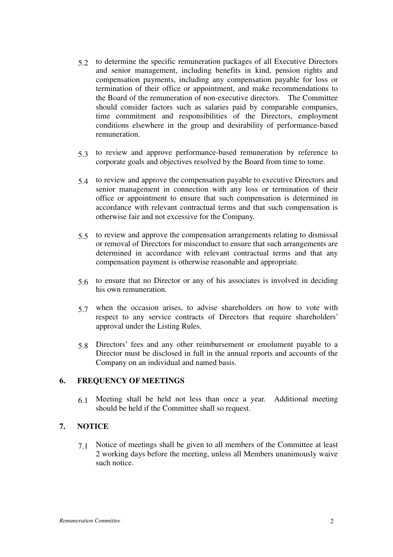- 5.2 to determine the specific remuneration packages of all Executive Directors and senior management, including benefits in kind, pension rights and compensation payments, including any compensation payable for loss or termination of their office or appointment, and make recommendations to the Board of the remuneration of non-executive directors. The Committee should consider factors such as salaries paid by comparable companies, time commitment and responsibilities of the Directors, employment conditions elsewhere in the group and desirability of performance-based remuneration.
- 5.3 to review and approve performance-based remuneration by reference to corporate goals and objectives resolved by the Board from time to tome.
- 5.4 to review and approve the compensation payable to executive Directors and senior management in connection with any loss or termination of their office or appointment to ensure that such compensation is determined in accordance with relevant contractual terms and that such compensation is otherwise fair and not excessive for the Company.
- 5.5 to review and approve the compensation arrangements relating to dismissal or removal of Directors for misconduct to ensure that such arrangements are determined in accordance with relevant contractual terms and that any compensation payment is otherwise reasonable and appropriate.
- 5.6 to ensure that no Director or any of his associates is involved in deciding his own remuneration.
- 5.7 when the occasion arises, to advise shareholders on how to vote with respect to any service contracts of Directors that require shareholders' approval under the Listing Rules.
- 5.8 Directors' fees and any other reimbursement or emolument payable to a Director must be disclosed in full in the annual reports and accounts of the Company on an individual and named basis.

# **6. FREQUENCY OF MEETINGS**

6.1 Meeting shall be held not less than once a year. Additional meeting should be held if the Committee shall so request.

# **7. NOTICE**

7.1 Notice of meetings shall be given to all members of the Committee at least 2 working days before the meeting, unless all Members unanimously waive such notice.